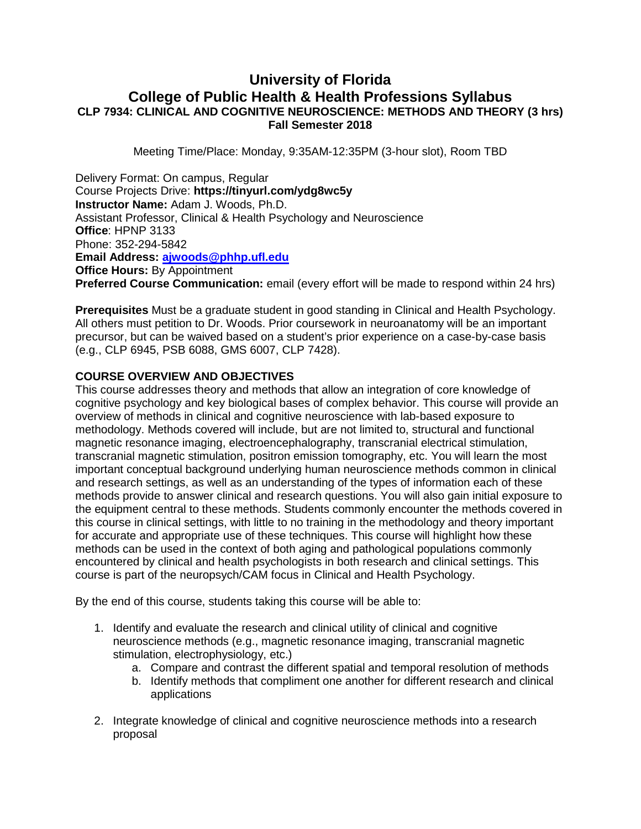# **University of Florida College of Public Health & Health Professions Syllabus CLP 7934: CLINICAL AND COGNITIVE NEUROSCIENCE: METHODS AND THEORY (3 hrs) Fall Semester 2018**

Meeting Time/Place: Monday, 9:35AM-12:35PM (3-hour slot), Room TBD

Delivery Format: On campus, Regular Course Projects Drive: **https://tinyurl.com/ydg8wc5y Instructor Name:** Adam J. Woods, Ph.D. Assistant Professor, Clinical & Health Psychology and Neuroscience **Office**: HPNP 3133 Phone: 352-294-5842 **Email Address: [ajwoods@phhp.ufl.edu](mailto:ajwoods@phhp.ufl.edu) Office Hours: By Appointment Preferred Course Communication:** email (every effort will be made to respond within 24 hrs)

**Prerequisites** Must be a graduate student in good standing in Clinical and Health Psychology. All others must petition to Dr. Woods. Prior coursework in neuroanatomy will be an important precursor, but can be waived based on a student's prior experience on a case-by-case basis (e.g., CLP 6945, PSB 6088, GMS 6007, CLP 7428).

### **COURSE OVERVIEW AND OBJECTIVES**

This course addresses theory and methods that allow an integration of core knowledge of cognitive psychology and key biological bases of complex behavior. This course will provide an overview of methods in clinical and cognitive neuroscience with lab-based exposure to methodology. Methods covered will include, but are not limited to, structural and functional magnetic resonance imaging, electroencephalography, transcranial electrical stimulation, transcranial magnetic stimulation, positron emission tomography, etc. You will learn the most important conceptual background underlying human neuroscience methods common in clinical and research settings, as well as an understanding of the types of information each of these methods provide to answer clinical and research questions. You will also gain initial exposure to the equipment central to these methods. Students commonly encounter the methods covered in this course in clinical settings, with little to no training in the methodology and theory important for accurate and appropriate use of these techniques. This course will highlight how these methods can be used in the context of both aging and pathological populations commonly encountered by clinical and health psychologists in both research and clinical settings. This course is part of the neuropsych/CAM focus in Clinical and Health Psychology.

By the end of this course, students taking this course will be able to:

- 1. Identify and evaluate the research and clinical utility of clinical and cognitive neuroscience methods (e.g., magnetic resonance imaging, transcranial magnetic stimulation, electrophysiology, etc.)
	- a. Compare and contrast the different spatial and temporal resolution of methods
	- b. Identify methods that compliment one another for different research and clinical applications
- 2. Integrate knowledge of clinical and cognitive neuroscience methods into a research proposal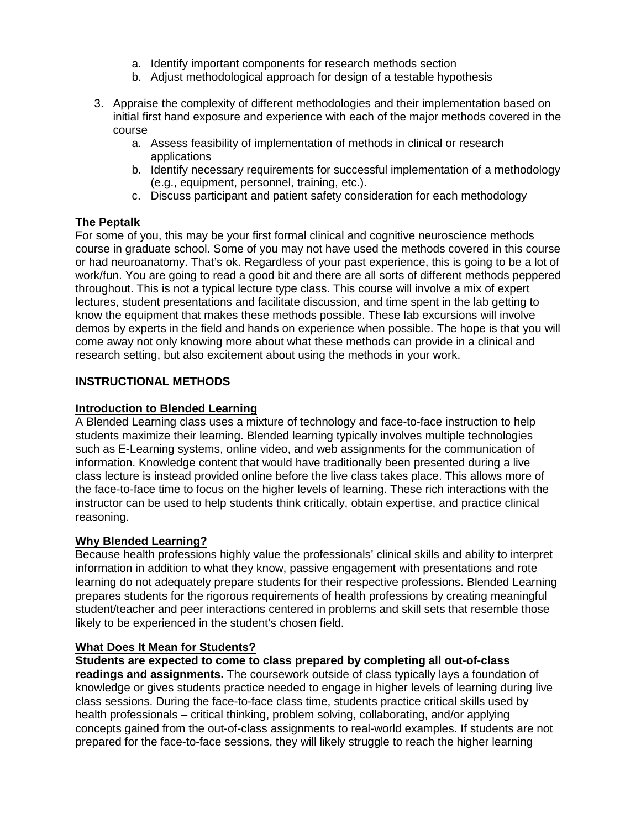- a. Identify important components for research methods section
- b. Adjust methodological approach for design of a testable hypothesis
- 3. Appraise the complexity of different methodologies and their implementation based on initial first hand exposure and experience with each of the major methods covered in the course
	- a. Assess feasibility of implementation of methods in clinical or research applications
	- b. Identify necessary requirements for successful implementation of a methodology (e.g., equipment, personnel, training, etc.).
	- c. Discuss participant and patient safety consideration for each methodology

### **The Peptalk**

For some of you, this may be your first formal clinical and cognitive neuroscience methods course in graduate school. Some of you may not have used the methods covered in this course or had neuroanatomy. That's ok. Regardless of your past experience, this is going to be a lot of work/fun. You are going to read a good bit and there are all sorts of different methods peppered throughout. This is not a typical lecture type class. This course will involve a mix of expert lectures, student presentations and facilitate discussion, and time spent in the lab getting to know the equipment that makes these methods possible. These lab excursions will involve demos by experts in the field and hands on experience when possible. The hope is that you will come away not only knowing more about what these methods can provide in a clinical and research setting, but also excitement about using the methods in your work.

### **INSTRUCTIONAL METHODS**

### **Introduction to Blended Learning**

A Blended Learning class uses a mixture of technology and face-to-face instruction to help students maximize their learning. Blended learning typically involves multiple technologies such as E-Learning systems, online video, and web assignments for the communication of information. Knowledge content that would have traditionally been presented during a live class lecture is instead provided online before the live class takes place. This allows more of the face-to-face time to focus on the higher levels of learning. These rich interactions with the instructor can be used to help students think critically, obtain expertise, and practice clinical reasoning.

### **Why Blended Learning?**

Because health professions highly value the professionals' clinical skills and ability to interpret information in addition to what they know, passive engagement with presentations and rote learning do not adequately prepare students for their respective professions. Blended Learning prepares students for the rigorous requirements of health professions by creating meaningful student/teacher and peer interactions centered in problems and skill sets that resemble those likely to be experienced in the student's chosen field.

### **What Does It Mean for Students?**

**Students are expected to come to class prepared by completing all out-of-class** 

**readings and assignments.** The coursework outside of class typically lays a foundation of knowledge or gives students practice needed to engage in higher levels of learning during live class sessions. During the face-to-face class time, students practice critical skills used by health professionals – critical thinking, problem solving, collaborating, and/or applying concepts gained from the out-of-class assignments to real-world examples. If students are not prepared for the face-to-face sessions, they will likely struggle to reach the higher learning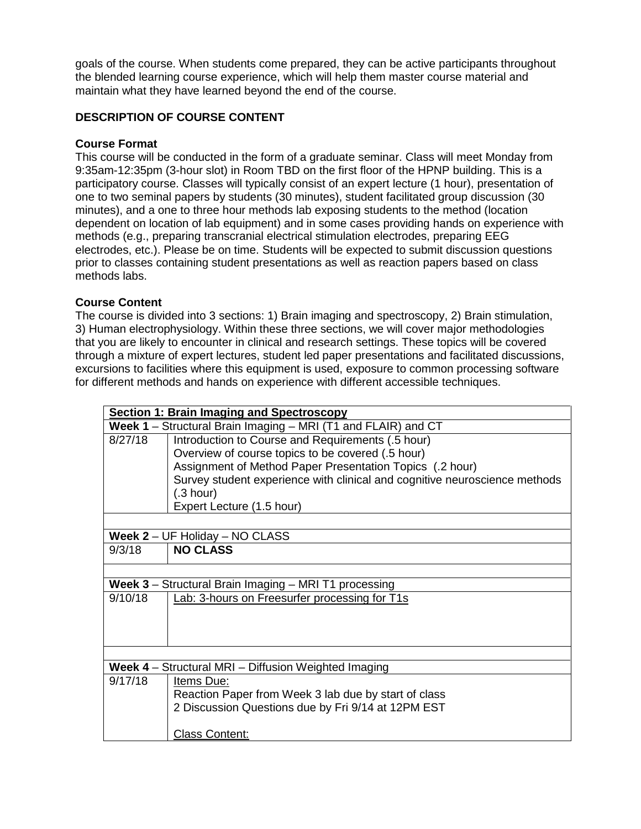goals of the course. When students come prepared, they can be active participants throughout the blended learning course experience, which will help them master course material and maintain what they have learned beyond the end of the course.

# **DESCRIPTION OF COURSE CONTENT**

### **Course Format**

This course will be conducted in the form of a graduate seminar. Class will meet Monday from 9:35am-12:35pm (3-hour slot) in Room TBD on the first floor of the HPNP building. This is a participatory course. Classes will typically consist of an expert lecture (1 hour), presentation of one to two seminal papers by students (30 minutes), student facilitated group discussion (30 minutes), and a one to three hour methods lab exposing students to the method (location dependent on location of lab equipment) and in some cases providing hands on experience with methods (e.g., preparing transcranial electrical stimulation electrodes, preparing EEG electrodes, etc.). Please be on time. Students will be expected to submit discussion questions prior to classes containing student presentations as well as reaction papers based on class methods labs.

### **Course Content**

The course is divided into 3 sections: 1) Brain imaging and spectroscopy, 2) Brain stimulation, 3) Human electrophysiology. Within these three sections, we will cover major methodologies that you are likely to encounter in clinical and research settings. These topics will be covered through a mixture of expert lectures, student led paper presentations and facilitated discussions, excursions to facilities where this equipment is used, exposure to common processing software for different methods and hands on experience with different accessible techniques.

|         | Section 1: Brain Imaging and Spectroscopy                                  |
|---------|----------------------------------------------------------------------------|
|         | Week 1 – Structural Brain Imaging – MRI (T1 and FLAIR) and CT              |
| 8/27/18 | Introduction to Course and Requirements (.5 hour)                          |
|         | Overview of course topics to be covered (.5 hour)                          |
|         | Assignment of Method Paper Presentation Topics (.2 hour)                   |
|         | Survey student experience with clinical and cognitive neuroscience methods |
|         | (.3 hour)                                                                  |
|         | Expert Lecture (1.5 hour)                                                  |
|         |                                                                            |
|         | <b>Week 2</b> – UF Holiday – NO CLASS                                      |
| 9/3/18  | <b>NO CLASS</b>                                                            |
|         |                                                                            |
|         | <b>Week 3</b> – Structural Brain Imaging – MRI T1 processing               |
| 9/10/18 | Lab: 3-hours on Freesurfer processing for T1s                              |
|         |                                                                            |
|         |                                                                            |
|         |                                                                            |
|         |                                                                            |
|         | Week 4 - Structural MRI - Diffusion Weighted Imaging                       |
| 9/17/18 | Items Due:                                                                 |
|         | Reaction Paper from Week 3 lab due by start of class                       |
|         | 2 Discussion Questions due by Fri 9/14 at 12PM EST                         |
|         | <b>Class Content:</b>                                                      |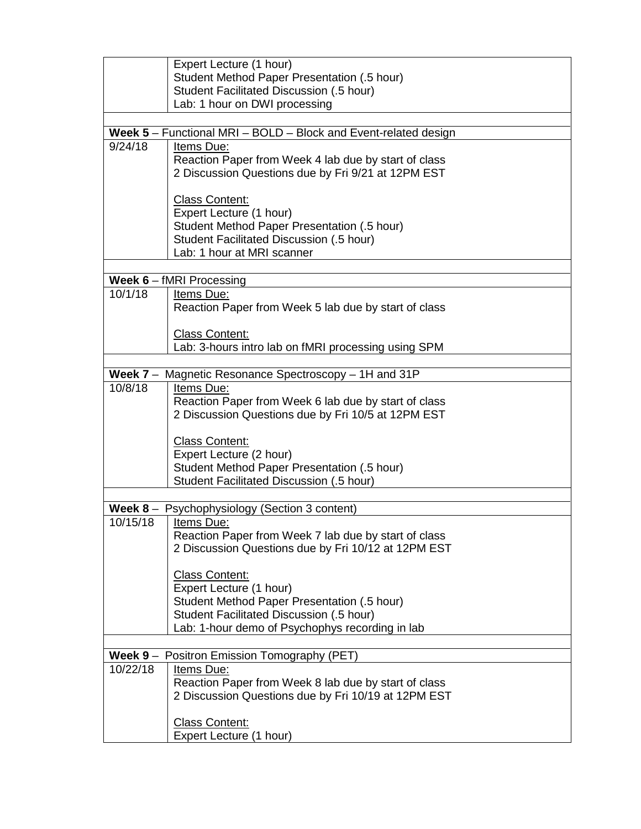|                    | Expert Lecture (1 hour)                                                |
|--------------------|------------------------------------------------------------------------|
|                    | Student Method Paper Presentation (.5 hour)                            |
|                    | Student Facilitated Discussion (.5 hour)                               |
|                    | Lab: 1 hour on DWI processing                                          |
|                    |                                                                        |
|                    | Week 5 - Functional MRI - BOLD - Block and Event-related design        |
| 9/24/18            | Items Due:                                                             |
|                    | Reaction Paper from Week 4 lab due by start of class                   |
|                    | 2 Discussion Questions due by Fri 9/21 at 12PM EST                     |
|                    |                                                                        |
|                    | <b>Class Content:</b>                                                  |
|                    | Expert Lecture (1 hour)                                                |
|                    | Student Method Paper Presentation (.5 hour)                            |
|                    | Student Facilitated Discussion (.5 hour)                               |
|                    | Lab: 1 hour at MRI scanner                                             |
|                    | Week 6 - fMRI Processing                                               |
| 10/1/18            | Items Due:                                                             |
|                    | Reaction Paper from Week 5 lab due by start of class                   |
|                    |                                                                        |
|                    | <b>Class Content:</b>                                                  |
|                    | Lab: 3-hours intro lab on fMRI processing using SPM                    |
|                    |                                                                        |
|                    | Week 7 - Magnetic Resonance Spectroscopy - 1H and 31P                  |
| 10/8/18            | Items Due:                                                             |
|                    | Reaction Paper from Week 6 lab due by start of class                   |
|                    | 2 Discussion Questions due by Fri 10/5 at 12PM EST                     |
|                    |                                                                        |
|                    | <b>Class Content:</b>                                                  |
|                    | Expert Lecture (2 hour)<br>Student Method Paper Presentation (.5 hour) |
|                    | Student Facilitated Discussion (.5 hour)                               |
|                    |                                                                        |
|                    | Week 8 - Psychophysiology (Section 3 content)                          |
| 10/15/18           | Items Due:                                                             |
|                    | Reaction Paper from Week 7 lab due by start of class                   |
|                    | 2 Discussion Questions due by Fri 10/12 at 12PM EST                    |
|                    |                                                                        |
|                    | <b>Class Content:</b>                                                  |
|                    | Expert Lecture (1 hour)                                                |
|                    | Student Method Paper Presentation (.5 hour)                            |
|                    | Student Facilitated Discussion (.5 hour)                               |
|                    | Lab: 1-hour demo of Psychophys recording in lab                        |
|                    | Week 9 - Positron Emission Tomography (PET)                            |
| $\frac{10}{22}/18$ | Items Due:                                                             |
|                    | Reaction Paper from Week 8 lab due by start of class                   |
|                    | 2 Discussion Questions due by Fri 10/19 at 12PM EST                    |
|                    |                                                                        |
|                    | <b>Class Content:</b>                                                  |
|                    | Expert Lecture (1 hour)                                                |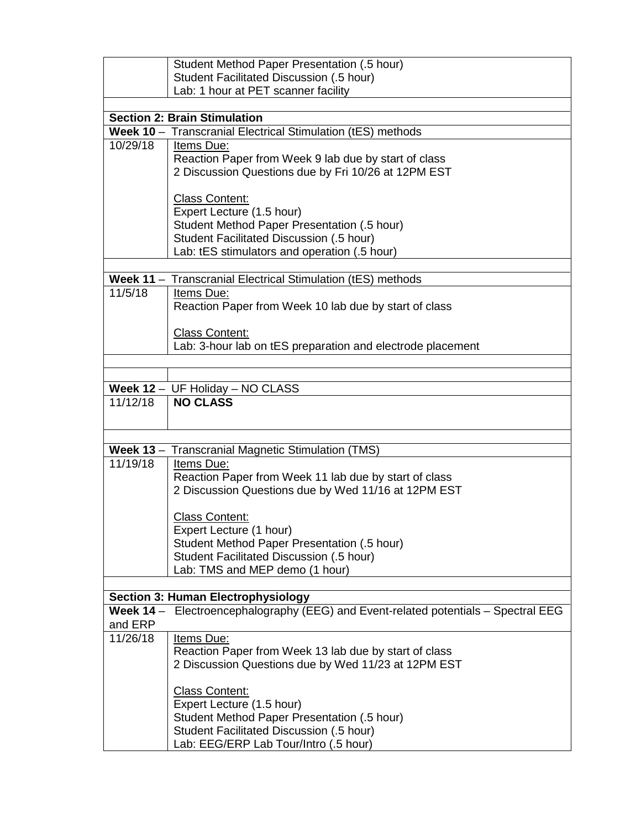|          | Student Method Paper Presentation (.5 hour)                                                                                                                                                                                                                                                                                                                                                                                                                                                                                      |
|----------|----------------------------------------------------------------------------------------------------------------------------------------------------------------------------------------------------------------------------------------------------------------------------------------------------------------------------------------------------------------------------------------------------------------------------------------------------------------------------------------------------------------------------------|
|          | Student Facilitated Discussion (.5 hour)                                                                                                                                                                                                                                                                                                                                                                                                                                                                                         |
|          | Lab: 1 hour at PET scanner facility                                                                                                                                                                                                                                                                                                                                                                                                                                                                                              |
|          |                                                                                                                                                                                                                                                                                                                                                                                                                                                                                                                                  |
|          | <b>Section 2: Brain Stimulation</b>                                                                                                                                                                                                                                                                                                                                                                                                                                                                                              |
|          | Week 10 - Transcranial Electrical Stimulation (tES) methods                                                                                                                                                                                                                                                                                                                                                                                                                                                                      |
| 10/29/18 | Items Due:                                                                                                                                                                                                                                                                                                                                                                                                                                                                                                                       |
|          | Reaction Paper from Week 9 lab due by start of class                                                                                                                                                                                                                                                                                                                                                                                                                                                                             |
|          | 2 Discussion Questions due by Fri 10/26 at 12PM EST                                                                                                                                                                                                                                                                                                                                                                                                                                                                              |
|          |                                                                                                                                                                                                                                                                                                                                                                                                                                                                                                                                  |
|          | <b>Class Content:</b>                                                                                                                                                                                                                                                                                                                                                                                                                                                                                                            |
|          | Expert Lecture (1.5 hour)<br>Student Method Paper Presentation (.5 hour)                                                                                                                                                                                                                                                                                                                                                                                                                                                         |
|          | Student Facilitated Discussion (.5 hour)                                                                                                                                                                                                                                                                                                                                                                                                                                                                                         |
|          | Lab: tES stimulators and operation (.5 hour)                                                                                                                                                                                                                                                                                                                                                                                                                                                                                     |
|          |                                                                                                                                                                                                                                                                                                                                                                                                                                                                                                                                  |
|          | Week 11 - Transcranial Electrical Stimulation (tES) methods                                                                                                                                                                                                                                                                                                                                                                                                                                                                      |
| 11/5/18  | Items Due:                                                                                                                                                                                                                                                                                                                                                                                                                                                                                                                       |
|          | Reaction Paper from Week 10 lab due by start of class                                                                                                                                                                                                                                                                                                                                                                                                                                                                            |
|          |                                                                                                                                                                                                                                                                                                                                                                                                                                                                                                                                  |
|          | <b>Class Content:</b>                                                                                                                                                                                                                                                                                                                                                                                                                                                                                                            |
|          | Lab: 3-hour lab on tES preparation and electrode placement                                                                                                                                                                                                                                                                                                                                                                                                                                                                       |
|          |                                                                                                                                                                                                                                                                                                                                                                                                                                                                                                                                  |
|          |                                                                                                                                                                                                                                                                                                                                                                                                                                                                                                                                  |
|          | Week 12 - UF Holiday - NO CLASS                                                                                                                                                                                                                                                                                                                                                                                                                                                                                                  |
| 11/12/18 | <b>NO CLASS</b>                                                                                                                                                                                                                                                                                                                                                                                                                                                                                                                  |
|          |                                                                                                                                                                                                                                                                                                                                                                                                                                                                                                                                  |
|          |                                                                                                                                                                                                                                                                                                                                                                                                                                                                                                                                  |
|          | Week 13 - Transcranial Magnetic Stimulation (TMS)                                                                                                                                                                                                                                                                                                                                                                                                                                                                                |
| 11/19/18 | Items Due:                                                                                                                                                                                                                                                                                                                                                                                                                                                                                                                       |
|          |                                                                                                                                                                                                                                                                                                                                                                                                                                                                                                                                  |
|          |                                                                                                                                                                                                                                                                                                                                                                                                                                                                                                                                  |
|          |                                                                                                                                                                                                                                                                                                                                                                                                                                                                                                                                  |
|          |                                                                                                                                                                                                                                                                                                                                                                                                                                                                                                                                  |
|          |                                                                                                                                                                                                                                                                                                                                                                                                                                                                                                                                  |
|          |                                                                                                                                                                                                                                                                                                                                                                                                                                                                                                                                  |
|          |                                                                                                                                                                                                                                                                                                                                                                                                                                                                                                                                  |
|          |                                                                                                                                                                                                                                                                                                                                                                                                                                                                                                                                  |
|          | <b>Section 3: Human Electrophysiology</b>                                                                                                                                                                                                                                                                                                                                                                                                                                                                                        |
|          | Week 14 - Electroencephalography (EEG) and Event-related potentials - Spectral EEG                                                                                                                                                                                                                                                                                                                                                                                                                                               |
| and ERP  |                                                                                                                                                                                                                                                                                                                                                                                                                                                                                                                                  |
|          |                                                                                                                                                                                                                                                                                                                                                                                                                                                                                                                                  |
|          |                                                                                                                                                                                                                                                                                                                                                                                                                                                                                                                                  |
|          |                                                                                                                                                                                                                                                                                                                                                                                                                                                                                                                                  |
|          |                                                                                                                                                                                                                                                                                                                                                                                                                                                                                                                                  |
|          |                                                                                                                                                                                                                                                                                                                                                                                                                                                                                                                                  |
|          |                                                                                                                                                                                                                                                                                                                                                                                                                                                                                                                                  |
|          |                                                                                                                                                                                                                                                                                                                                                                                                                                                                                                                                  |
|          | Student Facilitated Discussion (.5 hour)                                                                                                                                                                                                                                                                                                                                                                                                                                                                                         |
| 11/26/18 | Reaction Paper from Week 11 lab due by start of class<br>2 Discussion Questions due by Wed 11/16 at 12PM EST<br><b>Class Content:</b><br>Expert Lecture (1 hour)<br>Student Method Paper Presentation (.5 hour)<br>Student Facilitated Discussion (.5 hour)<br>Lab: TMS and MEP demo (1 hour)<br>Items Due:<br>Reaction Paper from Week 13 lab due by start of class<br>2 Discussion Questions due by Wed 11/23 at 12PM EST<br><b>Class Content:</b><br>Expert Lecture (1.5 hour)<br>Student Method Paper Presentation (.5 hour) |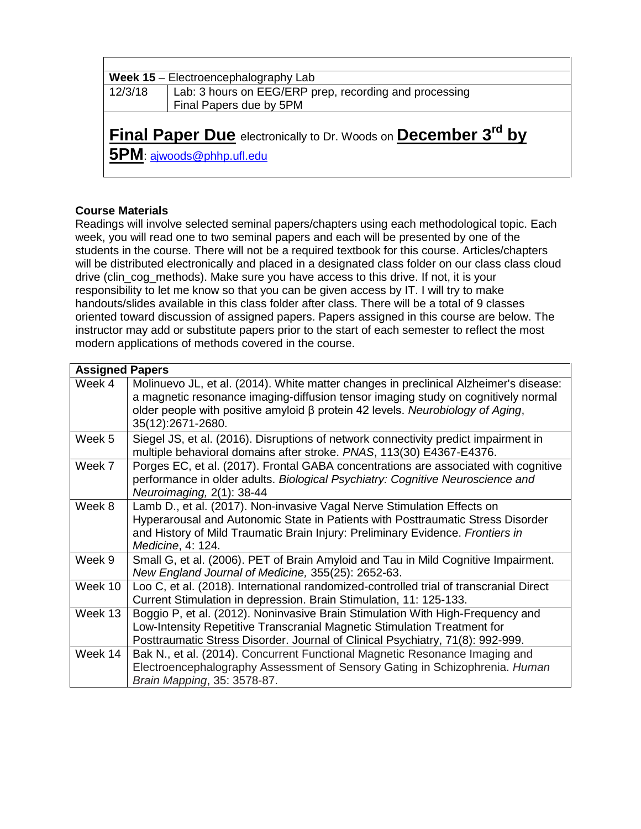| Week 15 - Electroencephalography Lab |                                                                                                         |  |  |  |  |  |  |  |
|--------------------------------------|---------------------------------------------------------------------------------------------------------|--|--|--|--|--|--|--|
| 12/3/18                              | Lab: 3 hours on EEG/ERP prep, recording and processing                                                  |  |  |  |  |  |  |  |
|                                      | Final Papers due by 5PM                                                                                 |  |  |  |  |  |  |  |
|                                      | Final Paper Due electronically to Dr. Woods on December 3 <sup>rd</sup> by<br>5PM: aiwoods@phhp.ufl.edu |  |  |  |  |  |  |  |

# **Course Materials**

Readings will involve selected seminal papers/chapters using each methodological topic. Each week, you will read one to two seminal papers and each will be presented by one of the students in the course. There will not be a required textbook for this course. Articles/chapters will be distributed electronically and placed in a designated class folder on our class class cloud drive (clin\_cog\_methods). Make sure you have access to this drive. If not, it is your responsibility to let me know so that you can be given access by IT. I will try to make handouts/slides available in this class folder after class. There will be a total of 9 classes oriented toward discussion of assigned papers. Papers assigned in this course are below. The instructor may add or substitute papers prior to the start of each semester to reflect the most modern applications of methods covered in the course.

| <b>Assigned Papers</b> |                                                                                                           |
|------------------------|-----------------------------------------------------------------------------------------------------------|
| Week 4                 | Molinuevo JL, et al. (2014). White matter changes in preclinical Alzheimer's disease:                     |
|                        | a magnetic resonance imaging-diffusion tensor imaging study on cognitively normal                         |
|                        | older people with positive amyloid $\beta$ protein 42 levels. Neurobiology of Aging,<br>35(12):2671-2680. |
| Week 5                 | Siegel JS, et al. (2016). Disruptions of network connectivity predict impairment in                       |
|                        | multiple behavioral domains after stroke. PNAS, 113(30) E4367-E4376.                                      |
| Week 7                 | Porges EC, et al. (2017). Frontal GABA concentrations are associated with cognitive                       |
|                        | performance in older adults. Biological Psychiatry: Cognitive Neuroscience and                            |
|                        | Neuroimaging, 2(1): 38-44                                                                                 |
| Week 8                 | Lamb D., et al. (2017). Non-invasive Vagal Nerve Stimulation Effects on                                   |
|                        | Hyperarousal and Autonomic State in Patients with Posttraumatic Stress Disorder                           |
|                        | and History of Mild Traumatic Brain Injury: Preliminary Evidence. Frontiers in                            |
|                        | Medicine, 4: 124.                                                                                         |
| Week 9                 | Small G, et al. (2006). PET of Brain Amyloid and Tau in Mild Cognitive Impairment.                        |
|                        | New England Journal of Medicine, 355(25): 2652-63.                                                        |
| Week 10                | Loo C, et al. (2018). International randomized-controlled trial of transcranial Direct                    |
|                        | Current Stimulation in depression. Brain Stimulation, 11: 125-133.                                        |
| Week 13                | Boggio P, et al. (2012). Noninvasive Brain Stimulation With High-Frequency and                            |
|                        | Low-Intensity Repetitive Transcranial Magnetic Stimulation Treatment for                                  |
|                        | Posttraumatic Stress Disorder. Journal of Clinical Psychiatry, 71(8): 992-999.                            |
| Week 14                | Bak N., et al. (2014). Concurrent Functional Magnetic Resonance Imaging and                               |
|                        | Electroencephalography Assessment of Sensory Gating in Schizophrenia. Human                               |
|                        | Brain Mapping, 35: 3578-87.                                                                               |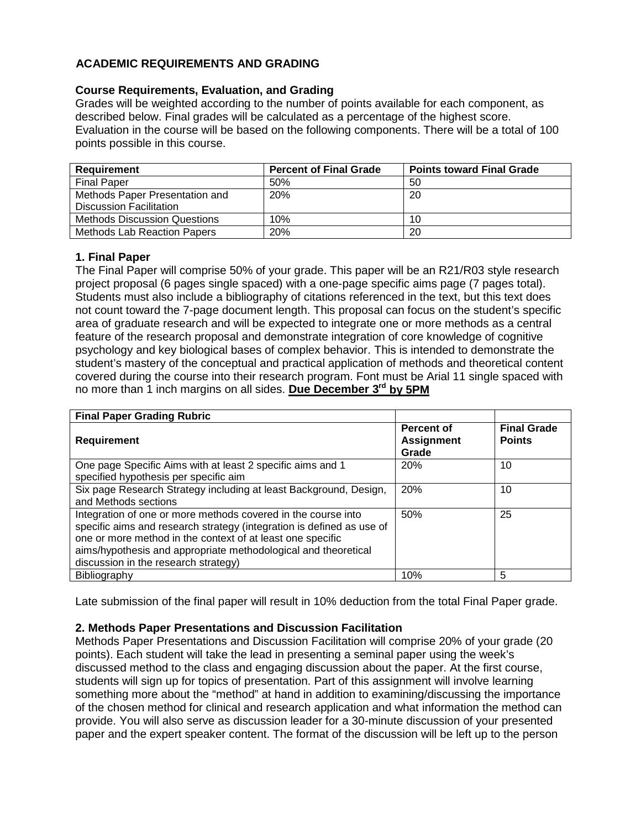# **ACADEMIC REQUIREMENTS AND GRADING**

## **Course Requirements, Evaluation, and Grading**

Grades will be weighted according to the number of points available for each component, as described below. Final grades will be calculated as a percentage of the highest score. Evaluation in the course will be based on the following components. There will be a total of 100 points possible in this course.

| <b>Requirement</b>                  | <b>Percent of Final Grade</b> | <b>Points toward Final Grade</b> |
|-------------------------------------|-------------------------------|----------------------------------|
| <b>Final Paper</b>                  | 50%                           | 50                               |
| Methods Paper Presentation and      | 20%                           | 20                               |
| <b>Discussion Facilitation</b>      |                               |                                  |
| <b>Methods Discussion Questions</b> | 10%                           | 10                               |
| <b>Methods Lab Reaction Papers</b>  | 20%                           | 20                               |

# **1. Final Paper**

The Final Paper will comprise 50% of your grade. This paper will be an R21/R03 style research project proposal (6 pages single spaced) with a one-page specific aims page (7 pages total). Students must also include a bibliography of citations referenced in the text, but this text does not count toward the 7-page document length. This proposal can focus on the student's specific area of graduate research and will be expected to integrate one or more methods as a central feature of the research proposal and demonstrate integration of core knowledge of cognitive psychology and key biological bases of complex behavior. This is intended to demonstrate the student's mastery of the conceptual and practical application of methods and theoretical content covered during the course into their research program. Font must be Arial 11 single spaced with no more than 1 inch margins on all sides. **Due December 3rd by 5PM**

| <b>Final Paper Grading Rubric</b>                                                                                                                                                                                                                                                                              |                                                 |                                     |
|----------------------------------------------------------------------------------------------------------------------------------------------------------------------------------------------------------------------------------------------------------------------------------------------------------------|-------------------------------------------------|-------------------------------------|
| <b>Requirement</b>                                                                                                                                                                                                                                                                                             | <b>Percent of</b><br><b>Assignment</b><br>Grade | <b>Final Grade</b><br><b>Points</b> |
| One page Specific Aims with at least 2 specific aims and 1<br>specified hypothesis per specific aim                                                                                                                                                                                                            | 20%                                             | 10                                  |
| Six page Research Strategy including at least Background, Design,<br>and Methods sections                                                                                                                                                                                                                      | 20%                                             | 10                                  |
| Integration of one or more methods covered in the course into<br>specific aims and research strategy (integration is defined as use of<br>one or more method in the context of at least one specific<br>aims/hypothesis and appropriate methodological and theoretical<br>discussion in the research strategy) | 50%                                             | 25                                  |
| Bibliography                                                                                                                                                                                                                                                                                                   | 10%                                             | 5                                   |

Late submission of the final paper will result in 10% deduction from the total Final Paper grade.

### **2. Methods Paper Presentations and Discussion Facilitation**

Methods Paper Presentations and Discussion Facilitation will comprise 20% of your grade (20 points). Each student will take the lead in presenting a seminal paper using the week's discussed method to the class and engaging discussion about the paper. At the first course, students will sign up for topics of presentation. Part of this assignment will involve learning something more about the "method" at hand in addition to examining/discussing the importance of the chosen method for clinical and research application and what information the method can provide. You will also serve as discussion leader for a 30-minute discussion of your presented paper and the expert speaker content. The format of the discussion will be left up to the person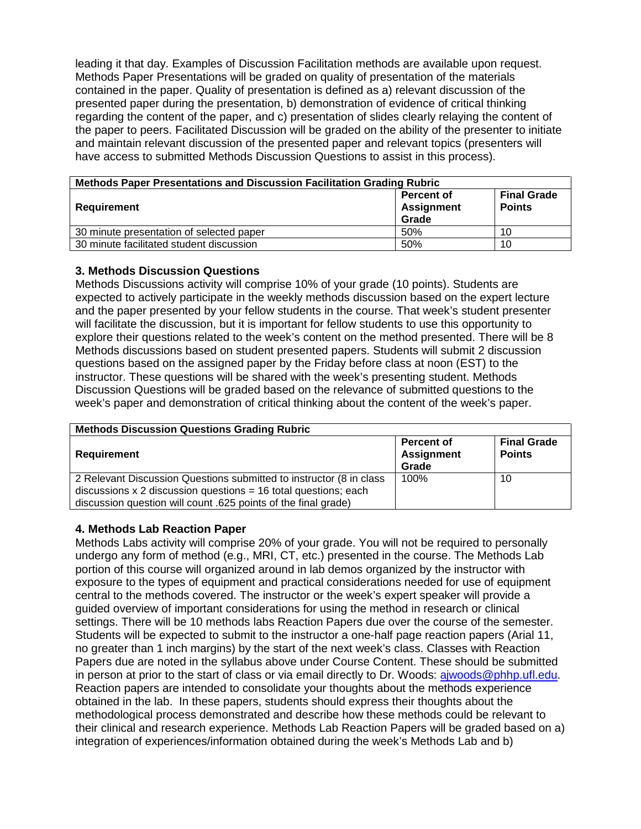leading it that day. Examples of Discussion Facilitation methods are available upon request. Methods Paper Presentations will be graded on quality of presentation of the materials contained in the paper. Quality of presentation is defined as a) relevant discussion of the presented paper during the presentation, b) demonstration of evidence of critical thinking regarding the content of the paper, and c) presentation of slides clearly relaying the content of the paper to peers. Facilitated Discussion will be graded on the ability of the presenter to initiate and maintain relevant discussion of the presented paper and relevant topics (presenters will have access to submitted Methods Discussion Questions to assist in this process).

| Methods Paper Presentations and Discussion Facilitation Grading Rubric |                                                 |                                     |  |  |  |  |  |  |  |
|------------------------------------------------------------------------|-------------------------------------------------|-------------------------------------|--|--|--|--|--|--|--|
| Requirement                                                            | <b>Percent of</b><br><b>Assignment</b><br>Grade | <b>Final Grade</b><br><b>Points</b> |  |  |  |  |  |  |  |
| 30 minute presentation of selected paper                               | 50%                                             | 10                                  |  |  |  |  |  |  |  |
| 30 minute facilitated student discussion                               | 50%                                             | 10                                  |  |  |  |  |  |  |  |

### **3. Methods Discussion Questions**

Methods Discussions activity will comprise 10% of your grade (10 points). Students are expected to actively participate in the weekly methods discussion based on the expert lecture and the paper presented by your fellow students in the course. That week's student presenter will facilitate the discussion, but it is important for fellow students to use this opportunity to explore their questions related to the week's content on the method presented. There will be 8 Methods discussions based on student presented papers. Students will submit 2 discussion questions based on the assigned paper by the Friday before class at noon (EST) to the instructor. These questions will be shared with the week's presenting student. Methods Discussion Questions will be graded based on the relevance of submitted questions to the week's paper and demonstration of critical thinking about the content of the week's paper.

| <b>Methods Discussion Questions Grading Rubric</b>                  |                                                 |                                     |  |  |  |  |  |  |  |
|---------------------------------------------------------------------|-------------------------------------------------|-------------------------------------|--|--|--|--|--|--|--|
| <b>Requirement</b>                                                  | <b>Percent of</b><br><b>Assignment</b><br>Grade | <b>Final Grade</b><br><b>Points</b> |  |  |  |  |  |  |  |
| 2 Relevant Discussion Questions submitted to instructor (8 in class | 100%                                            | 10                                  |  |  |  |  |  |  |  |
| discussions $x$ 2 discussion questions = 16 total questions; each   |                                                 |                                     |  |  |  |  |  |  |  |
| discussion question will count .625 points of the final grade)      |                                                 |                                     |  |  |  |  |  |  |  |

# **4. Methods Lab Reaction Paper**

Methods Labs activity will comprise 20% of your grade. You will not be required to personally undergo any form of method (e.g., MRI, CT, etc.) presented in the course. The Methods Lab portion of this course will organized around in lab demos organized by the instructor with exposure to the types of equipment and practical considerations needed for use of equipment central to the methods covered. The instructor or the week's expert speaker will provide a guided overview of important considerations for using the method in research or clinical settings. There will be 10 methods labs Reaction Papers due over the course of the semester. Students will be expected to submit to the instructor a one-half page reaction papers (Arial 11, no greater than 1 inch margins) by the start of the next week's class. Classes with Reaction Papers due are noted in the syllabus above under Course Content. These should be submitted in person at prior to the start of class or via email directly to Dr. Woods: [ajwoods@phhp.ufl.edu.](mailto:ajwoods@phhp.ufl.edu) Reaction papers are intended to consolidate your thoughts about the methods experience obtained in the lab. In these papers, students should express their thoughts about the methodological process demonstrated and describe how these methods could be relevant to their clinical and research experience. Methods Lab Reaction Papers will be graded based on a) integration of experiences/information obtained during the week's Methods Lab and b)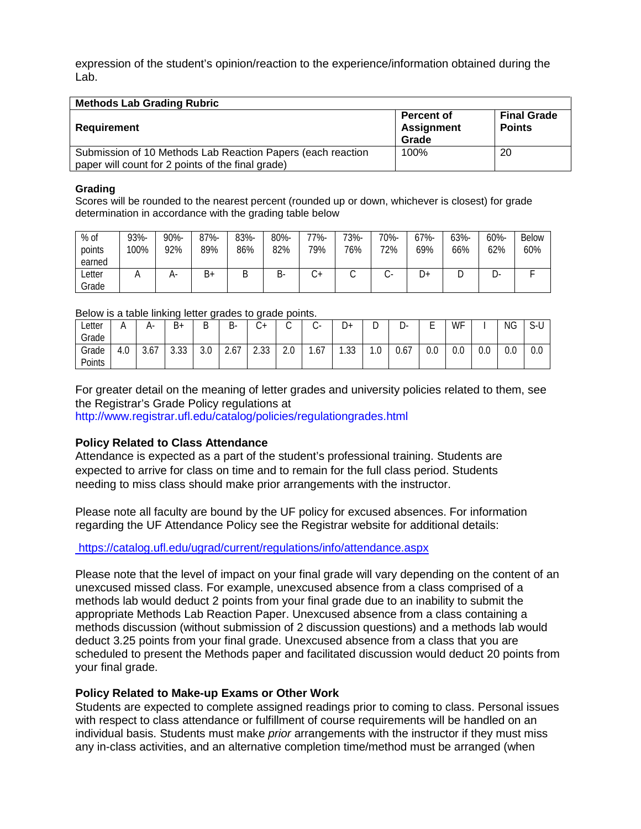expression of the student's opinion/reaction to the experience/information obtained during the Lab.

| <b>Methods Lab Grading Rubric</b>                                                                                |                                                 |                                     |
|------------------------------------------------------------------------------------------------------------------|-------------------------------------------------|-------------------------------------|
| Requirement                                                                                                      | <b>Percent of</b><br><b>Assignment</b><br>Grade | <b>Final Grade</b><br><b>Points</b> |
| Submission of 10 Methods Lab Reaction Papers (each reaction<br>paper will count for 2 points of the final grade) | 100%                                            | 20                                  |

#### **Grading**

Scores will be rounded to the nearest percent (rounded up or down, whichever is closest) for grade determination in accordance with the grading table below

| % of<br>points<br>earned | 93%-<br>100% | 90%-<br>92% | 87%-<br>89% | 83%-<br>86% | 80%-<br>82% | -77%<br>79% | 73%-<br>76% | 70%-<br>72% | $67% -$<br>69% | 63%-<br>66% | 60%-<br>62% | <b>Below</b><br>60% |
|--------------------------|--------------|-------------|-------------|-------------|-------------|-------------|-------------|-------------|----------------|-------------|-------------|---------------------|
| Letter<br>Grade          |              | А-          | B+          | ∍<br>◡      | В-          | +ں          | ◡           |             | ∽<br>υ+        | ◡           | _ບ∹         |                     |

#### Below is a table linking letter grades to grade points.

| $\Omega$<br>າາາ<br>ົດດ<br>3.67<br>.67<br>0.67<br>ገ በ<br>$\sim$<br>2.67<br>3.0<br>0.0<br>0.0<br>0.0<br>$\sim$ $\sim$<br>Grade<br>$\sqrt{2}$<br>4.U<br>$\epsilon$<br>v.v<br>$\cdot \cdot$ U<br>z.u<br>ט ט. ו<br>ິບ.ບບ<br>ں ن ے | ∟etter<br>Grade | д. | B+ | B | B- | $\sim$<br>◡ | ⌒<br>U | $\sim$<br>$\sim$ | ∽<br>◡ | ◡ | υ- | – | WF | ΝG | $\sim$ $\sim$<br>ヽ‐し<br>◡ |
|------------------------------------------------------------------------------------------------------------------------------------------------------------------------------------------------------------------------------|-----------------|----|----|---|----|-------------|--------|------------------|--------|---|----|---|----|----|---------------------------|
|                                                                                                                                                                                                                              |                 |    |    |   |    |             |        |                  |        |   |    |   |    |    |                           |
|                                                                                                                                                                                                                              | Points          |    |    |   |    |             |        |                  |        |   |    |   |    |    | 0.0                       |

For greater detail on the meaning of letter grades and university policies related to them, see the Registrar's Grade Policy regulations at

http://www.registrar.ufl.edu/catalog/policies/regulationgrades.html

### **Policy Related to Class Attendance**

Attendance is expected as a part of the student's professional training. Students are expected to arrive for class on time and to remain for the full class period. Students needing to miss class should make prior arrangements with the instructor.

Please note all faculty are bound by the UF policy for excused absences. For information regarding the UF Attendance Policy see the Registrar website for additional details:

<https://catalog.ufl.edu/ugrad/current/regulations/info/attendance.aspx>

Please note that the level of impact on your final grade will vary depending on the content of an unexcused missed class. For example, unexcused absence from a class comprised of a methods lab would deduct 2 points from your final grade due to an inability to submit the appropriate Methods Lab Reaction Paper. Unexcused absence from a class containing a methods discussion (without submission of 2 discussion questions) and a methods lab would deduct 3.25 points from your final grade. Unexcused absence from a class that you are scheduled to present the Methods paper and facilitated discussion would deduct 20 points from your final grade.

### **Policy Related to Make-up Exams or Other Work**

Students are expected to complete assigned readings prior to coming to class. Personal issues with respect to class attendance or fulfillment of course requirements will be handled on an individual basis. Students must make *prior* arrangements with the instructor if they must miss any in-class activities, and an alternative completion time/method must be arranged (when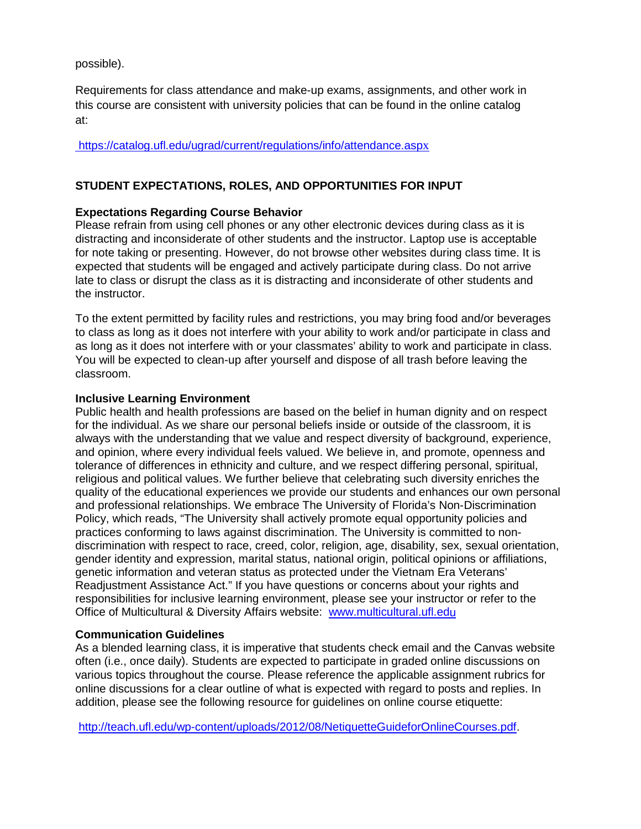possible).

Requirements for class attendance and make-up exams, assignments, and other work in this course are consistent with university policies that can be found in the online catalog at:

[https://catalog.ufl.edu/ugrad/current/regulations/info/attendance.asp](https://catalog.ufl.edu/ugrad/current/regulations/info/attendance.aspx)x

# **STUDENT EXPECTATIONS, ROLES, AND OPPORTUNITIES FOR INPUT**

### **Expectations Regarding Course Behavior**

Please refrain from using cell phones or any other electronic devices during class as it is distracting and inconsiderate of other students and the instructor. Laptop use is acceptable for note taking or presenting. However, do not browse other websites during class time. It is expected that students will be engaged and actively participate during class. Do not arrive late to class or disrupt the class as it is distracting and inconsiderate of other students and the instructor.

To the extent permitted by facility rules and restrictions, you may bring food and/or beverages to class as long as it does not interfere with your ability to work and/or participate in class and as long as it does not interfere with or your classmates' ability to work and participate in class. You will be expected to clean-up after yourself and dispose of all trash before leaving the classroom.

### **Inclusive Learning Environment**

Public health and health professions are based on the belief in human dignity and on respect for the individual. As we share our personal beliefs inside or outside of the classroom, it is always with the understanding that we value and respect diversity of background, experience, and opinion, where every individual feels valued. We believe in, and promote, openness and tolerance of differences in ethnicity and culture, and we respect differing personal, spiritual, religious and political values. We further believe that celebrating such diversity enriches the quality of the educational experiences we provide our students and enhances our own personal and professional relationships. We embrace The University of Florida's Non-Discrimination Policy, which reads, "The University shall actively promote equal opportunity policies and practices conforming to laws against discrimination. The University is committed to nondiscrimination with respect to race, creed, color, religion, age, disability, sex, sexual orientation, gender identity and expression, marital status, national origin, political opinions or affiliations, genetic information and veteran status as protected under the Vietnam Era Veterans' Readjustment Assistance Act." If you have questions or concerns about your rights and responsibilities for inclusive learning environment, please see your instructor or refer to the Office of Multicultural & Diversity Affairs website: [www.multicultural.ufl.edu](http://www.multicultural.ufl.edu/)

### **Communication Guidelines**

As a blended learning class, it is imperative that students check email and the Canvas website often (i.e., once daily). Students are expected to participate in graded online discussions on various topics throughout the course. Please reference the applicable assignment rubrics for online discussions for a clear outline of what is expected with regard to posts and replies. In addition, please see the following resource for guidelines on online course etiquette:

[http://teach.ufl.edu/wp-content/uploads/2012/08/NetiquetteGuideforOnlineCourses.pdf.](http://teach.ufl.edu/wp-content/uploads/2012/08/NetiquetteGuideforOnlineCourses.pdf)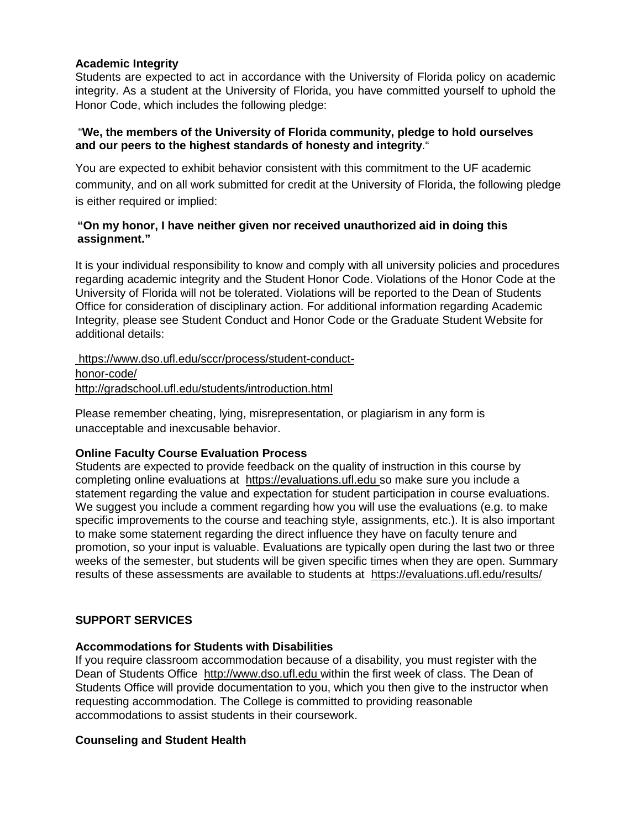## **Academic Integrity**

Students are expected to act in accordance with the University of Florida policy on academic integrity. As a student at the University of Florida, you have committed yourself to uphold the Honor Code, which includes the following pledge:

### "**We, the members of the University of Florida community, pledge to hold ourselves and our peers to the highest standards of honesty and integrity**."

You are expected to exhibit behavior consistent with this commitment to the UF academic community, and on all work submitted for credit at the University of Florida, the following pledge is either required or implied:

### **"On my honor, I have neither given nor received unauthorized aid in doing this assignment."**

It is your individual responsibility to know and comply with all university policies and procedures regarding academic integrity and the Student Honor Code. Violations of the Honor Code at the University of Florida will not be tolerated. Violations will be reported to the Dean of Students Office for consideration of disciplinary action. For additional information regarding Academic Integrity, please see Student Conduct and Honor Code or the Graduate Student Website for additional details:

[https://www.dso.ufl.edu/sccr/process/student-conduct](https://www.dso.ufl.edu/sccr/process/student-conduct-honor-code/)[honor-code/](https://www.dso.ufl.edu/sccr/process/student-conduct-honor-code/) <http://gradschool.ufl.edu/students/introduction.html>

Please remember cheating, lying, misrepresentation, or plagiarism in any form is unacceptable and inexcusable behavior.

### **Online Faculty Course Evaluation Process**

Students are expected to provide feedback on the quality of instruction in this course by completing online evaluations at [https://evaluations.ufl.edu](https://evaluations.ufl.edu/) so make sure you include a statement regarding the value and expectation for student participation in course evaluations. We suggest you include a comment regarding how you will use the evaluations (e.g. to make specific improvements to the course and teaching style, assignments, etc.). It is also important to make some statement regarding the direct influence they have on faculty tenure and promotion, so your input is valuable. Evaluations are typically open during the last two or three weeks of the semester, but students will be given specific times when they are open. Summary results of these assessments are available to students at [https://evaluations.ufl.edu/results/](https://evaluations.ufl.edu/results/Â )

### **SUPPORT SERVICES**

### **Accommodations for Students with Disabilities**

If you require classroom accommodation because of a disability, you must register with the Dean of Students Office [http://www.dso.ufl.edu](http://www.dso.ufl.edu/) within the first week of class. The Dean of Students Office will provide documentation to you, which you then give to the instructor when requesting accommodation. The College is committed to providing reasonable accommodations to assist students in their coursework.

### **Counseling and Student Health**